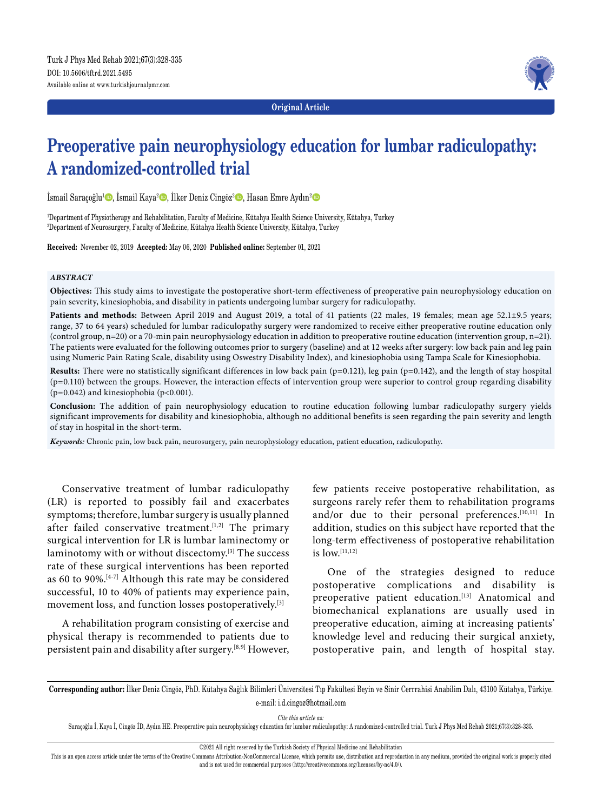

**Original Article**

# **Preoperative pain neurophysiology education for lumbar radiculopathy: A randomized-controlled trial**

İsmail Saraçoğlu<sup>1</sup>©, İsmail Kaya<sup>2</sup>©, İlker Deniz Cingöz<sup>2</sup>©, Hasan Emre Aydın<sup>2</sup>©

1 Department of Physiotherapy and Rehabilitation, Faculty of Medicine, Kütahya Health Science University, Kütahya, Turkey 2 Department of Neurosurgery, Faculty of Medicine, Kütahya Health Science University, Kütahya, Turkey

**Received:** November 02, 2019 **Accepted:** May 06, 2020 **Published online:** September 01, 2021

#### *ABSTRACT*

**Objectives:** This study aims to investigate the postoperative short-term effectiveness of preoperative pain neurophysiology education on pain severity, kinesiophobia, and disability in patients undergoing lumbar surgery for radiculopathy.

**Patients and methods:** Between April 2019 and August 2019, a total of 41 patients (22 males, 19 females; mean age 52.1±9.5 years; range, 37 to 64 years) scheduled for lumbar radiculopathy surgery were randomized to receive either preoperative routine education only (control group, n=20) or a 70-min pain neurophysiology education in addition to preoperative routine education (intervention group, n=21). The patients were evaluated for the following outcomes prior to surgery (baseline) and at 12 weeks after surgery: low back pain and leg pain using Numeric Pain Rating Scale, disability using Oswestry Disability Index), and kinesiophobia using Tampa Scale for Kinesiophobia.

Results: There were no statistically significant differences in low back pain (p=0.121), leg pain (p=0.142), and the length of stay hospital  $(p=0.110)$  between the groups. However, the interaction effects of intervention group were superior to control group regarding disability ( $p=0.042$ ) and kinesiophobia ( $p<0.001$ ).

**Conclusion:** The addition of pain neurophysiology education to routine education following lumbar radiculopathy surgery yields significant improvements for disability and kinesiophobia, although no additional benefits is seen regarding the pain severity and length of stay in hospital in the short-term.

*Keywords:* Chronic pain, low back pain, neurosurgery, pain neurophysiology education, patient education, radiculopathy.

Conservative treatment of lumbar radiculopathy (LR) is reported to possibly fail and exacerbates symptoms; therefore, lumbar surgery is usually planned after failed conservative treatment.<sup>[1,2]</sup> The primary surgical intervention for LR is lumbar laminectomy or laminotomy with or without discectomy.[3] The success rate of these surgical interventions has been reported as 60 to 90%.[4-7] Although this rate may be considered successful, 10 to 40% of patients may experience pain, movement loss, and function losses postoperatively.<sup>[3]</sup>

A rehabilitation program consisting of exercise and physical therapy is recommended to patients due to persistent pain and disability after surgery.[8,9] However,

few patients receive postoperative rehabilitation, as surgeons rarely refer them to rehabilitation programs and/or due to their personal preferences.<sup>[10,11]</sup> In addition, studies on this subject have reported that the long-term effectiveness of postoperative rehabilitation is  $low.$ <sup>[11,12]</sup>

One of the strategies designed to reduce postoperative complications and disability is preoperative patient education.[13] Anatomical and biomechanical explanations are usually used in preoperative education, aiming at increasing patients' knowledge level and reducing their surgical anxiety, postoperative pain, and length of hospital stay.

**Corresponding author:** İlker Deniz Cingöz, PhD. Kütahya Sağlık Bilimleri Üniversitesi Tıp Fakültesi Beyin ve Sinir Cerrrahisi Anabilim Dalı, 43100 Kütahya, Türkiye. e-mail: i.d.cingoz@hotmail.com

*Cite this article as:*

Saraçoğlu İ, Kaya İ, Cingöz İD, Aydın HE. Preoperative pain neurophysiology education for lumbar radiculopathy: A randomized-controlled trial. Turk J Phys Med Rehab 2021;67(3):328-335.

©2021 All right reserved by the Turkish Society of Physical Medicine and Rehabilitation

This is an open access article under the terms of the Creative Commons Attribution-NonCommercial License, which permits use, distribution and reproduction in any medium, provided the original work is properly cited and is not used for commercial purposes (http://creativecommons.org/licenses/by-nc/4.0/).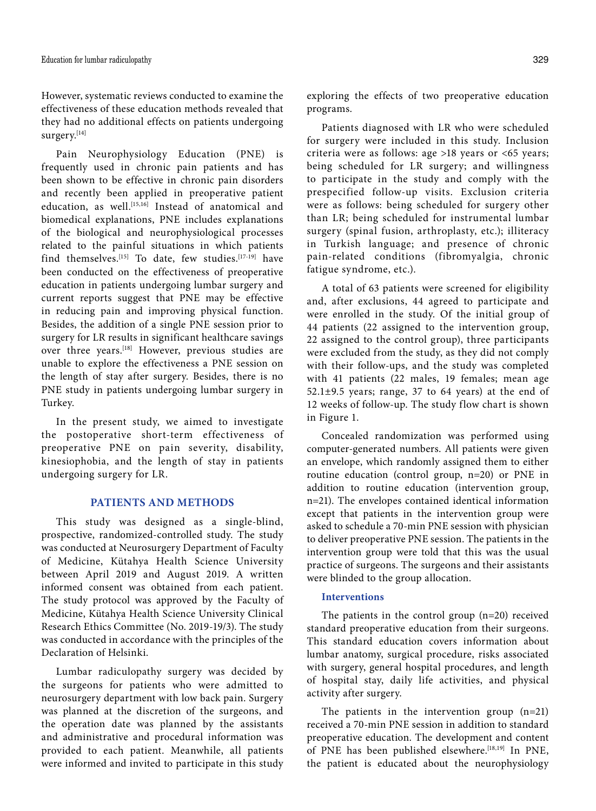However, systematic reviews conducted to examine the effectiveness of these education methods revealed that they had no additional effects on patients undergoing surgery.[14]

Pain Neurophysiology Education (PNE) is frequently used in chronic pain patients and has been shown to be effective in chronic pain disorders and recently been applied in preoperative patient education, as well.<sup>[15,16]</sup> Instead of anatomical and biomedical explanations, PNE includes explanations of the biological and neurophysiological processes related to the painful situations in which patients find themselves.[15] To date, few studies.[17-19] have been conducted on the effectiveness of preoperative education in patients undergoing lumbar surgery and current reports suggest that PNE may be effective in reducing pain and improving physical function. Besides, the addition of a single PNE session prior to surgery for LR results in significant healthcare savings over three years.[18] However, previous studies are unable to explore the effectiveness a PNE session on the length of stay after surgery. Besides, there is no PNE study in patients undergoing lumbar surgery in Turkey.

In the present study, we aimed to investigate the postoperative short-term effectiveness of preoperative PNE on pain severity, disability, kinesiophobia, and the length of stay in patients undergoing surgery for LR.

# **PATIENTS AND METHODS**

This study was designed as a single-blind, prospective, randomized-controlled study. The study was conducted at Neurosurgery Department of Faculty of Medicine, Kütahya Health Science University between April 2019 and August 2019. A written informed consent was obtained from each patient. The study protocol was approved by the Faculty of Medicine, Kütahya Health Science University Clinical Research Ethics Committee (No. 2019-19/3). The study was conducted in accordance with the principles of the Declaration of Helsinki.

Lumbar radiculopathy surgery was decided by the surgeons for patients who were admitted to neurosurgery department with low back pain. Surgery was planned at the discretion of the surgeons, and the operation date was planned by the assistants and administrative and procedural information was provided to each patient. Meanwhile, all patients were informed and invited to participate in this study exploring the effects of two preoperative education programs.

Patients diagnosed with LR who were scheduled for surgery were included in this study. Inclusion criteria were as follows: age >18 years or <65 years; being scheduled for LR surgery; and willingness to participate in the study and comply with the prespecified follow-up visits. Exclusion criteria were as follows: being scheduled for surgery other than LR; being scheduled for instrumental lumbar surgery (spinal fusion, arthroplasty, etc.); illiteracy in Turkish language; and presence of chronic pain-related conditions (fibromyalgia, chronic fatigue syndrome, etc.).

A total of 63 patients were screened for eligibility and, after exclusions, 44 agreed to participate and were enrolled in the study. Of the initial group of 44 patients (22 assigned to the intervention group, 22 assigned to the control group), three participants were excluded from the study, as they did not comply with their follow-ups, and the study was completed with 41 patients (22 males, 19 females; mean age  $52.1\pm9.5$  years; range, 37 to 64 years) at the end of 12 weeks of follow-up. The study flow chart is shown in Figure 1.

Concealed randomization was performed using computer-generated numbers. All patients were given an envelope, which randomly assigned them to either routine education (control group, n=20) or PNE in addition to routine education (intervention group, n=21). The envelopes contained identical information except that patients in the intervention group were asked to schedule a 70-min PNE session with physician to deliver preoperative PNE session. The patients in the intervention group were told that this was the usual practice of surgeons. The surgeons and their assistants were blinded to the group allocation.

#### **Interventions**

The patients in the control group (n=20) received standard preoperative education from their surgeons. This standard education covers information about lumbar anatomy, surgical procedure, risks associated with surgery, general hospital procedures, and length of hospital stay, daily life activities, and physical activity after surgery.

The patients in the intervention group (n=21) received a 70-min PNE session in addition to standard preoperative education. The development and content of PNE has been published elsewhere.[18,19] In PNE, the patient is educated about the neurophysiology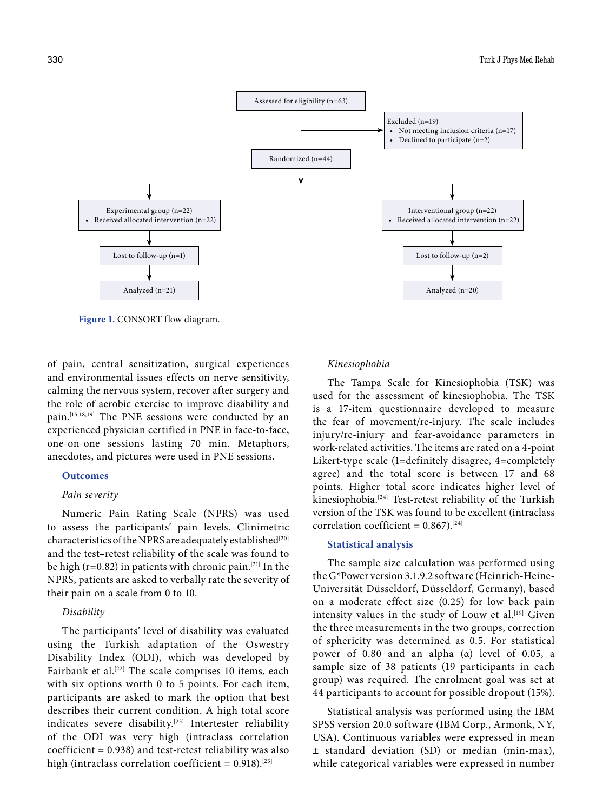

**Figure 1.** CONSORT flow diagram.

of pain, central sensitization, surgical experiences and environmental issues effects on nerve sensitivity, calming the nervous system, recover after surgery and the role of aerobic exercise to improve disability and pain.[15,18,19] The PNE sessions were conducted by an experienced physician certified in PNE in face-to-face, one-on-one sessions lasting 70 min. Metaphors, anecdotes, and pictures were used in PNE sessions.

# **Outcomes**

#### *Pain severity*

Numeric Pain Rating Scale (NPRS) was used to assess the participants' pain levels. Clinimetric characteristics of the NPRS are adequately established<sup>[20]</sup> and the test–retest reliability of the scale was found to be high ( $r=0.82$ ) in patients with chronic pain.<sup>[21]</sup> In the NPRS, patients are asked to verbally rate the severity of their pain on a scale from 0 to 10.

#### *Disability*

The participants' level of disability was evaluated using the Turkish adaptation of the Oswestry Disability Index (ODI), which was developed by Fairbank et al.<sup>[22]</sup> The scale comprises 10 items, each with six options worth 0 to 5 points. For each item, participants are asked to mark the option that best describes their current condition. A high total score indicates severe disability.<sup>[23]</sup> Intertester reliability of the ODI was very high (intraclass correlation  $coefficient = 0.938$ ) and test-retest reliability was also high (intraclass correlation coefficient =  $0.918$ ).<sup>[23]</sup>

## *Kinesiophobia*

The Tampa Scale for Kinesiophobia (TSK) was used for the assessment of kinesiophobia. The TSK is a 17-item questionnaire developed to measure the fear of movement/re-injury. The scale includes injury/re-injury and fear-avoidance parameters in work-related activities. The items are rated on a 4-point Likert-type scale (1=definitely disagree, 4=completely agree) and the total score is between 17 and 68 points. Higher total score indicates higher level of kinesiophobia.[24] Test-retest reliability of the Turkish version of the TSK was found to be excellent (intraclass correlation coefficient =  $0.867$ ).<sup>[24]</sup>

## **Statistical analysis**

The sample size calculation was performed using the G\*Power version 3.1.9.2 software (Heinrich-Heine-Universität Düsseldorf, Düsseldorf, Germany), based on a moderate effect size (0.25) for low back pain intensity values in the study of Louw et al.<sup>[19]</sup> Given the three measurements in the two groups, correction of sphericity was determined as 0.5. For statistical power of 0.80 and an alpha (α) level of 0.05, a sample size of 38 patients (19 participants in each group) was required. The enrolment goal was set at 44 participants to account for possible dropout (15%).

Statistical analysis was performed using the IBM SPSS version 20.0 software (IBM Corp., Armonk, NY, USA). Continuous variables were expressed in mean ± standard deviation (SD) or median (min-max), while categorical variables were expressed in number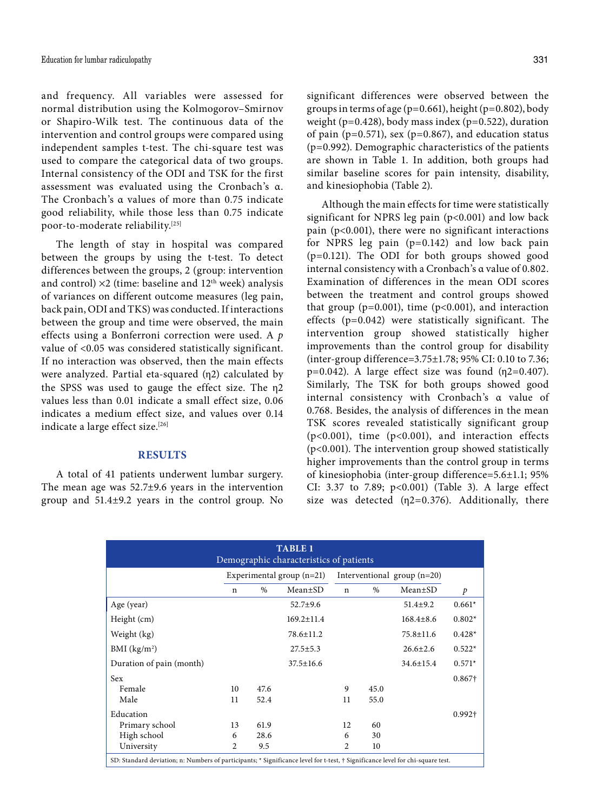and frequency. All variables were assessed for normal distribution using the Kolmogorov–Smirnov or Shapiro-Wilk test. The continuous data of the intervention and control groups were compared using independent samples t-test. The chi-square test was used to compare the categorical data of two groups. Internal consistency of the ODI and TSK for the first assessment was evaluated using the Cronbach's α. The Cronbach's α values of more than 0.75 indicate good reliability, while those less than 0.75 indicate poor-to-moderate reliability.[25]

The length of stay in hospital was compared between the groups by using the t-test. To detect differences between the groups, 2 (group: intervention and control)  $\times 2$  (time: baseline and  $12<sup>th</sup>$  week) analysis of variances on different outcome measures (leg pain, back pain, ODI and TKS) was conducted. If interactions between the group and time were observed, the main effects using a Bonferroni correction were used. A *p* value of <0.05 was considered statistically significant. If no interaction was observed, then the main effects were analyzed. Partial eta-squared (η2) calculated by the SPSS was used to gauge the effect size. The η2 values less than 0.01 indicate a small effect size, 0.06 indicates a medium effect size, and values over 0.14 indicate a large effect size.<sup>[26]</sup>

### **RESULTS**

A total of 41 patients underwent lumbar surgery. The mean age was 52.7±9.6 years in the intervention group and 51.4±9.2 years in the control group. No significant differences were observed between the groups in terms of age (p=0.661), height (p=0.802), body weight ( $p=0.428$ ), body mass index ( $p=0.522$ ), duration of pain ( $p=0.571$ ), sex ( $p=0.867$ ), and education status (p=0.992). Demographic characteristics of the patients are shown in Table 1. In addition, both groups had similar baseline scores for pain intensity, disability, and kinesiophobia (Table 2).

Although the main effects for time were statistically significant for NPRS leg pain (p<0.001) and low back pain (p<0.001), there were no significant interactions for NPRS leg pain (p=0.142) and low back pain (p=0.121). The ODI for both groups showed good internal consistency with a Cronbach's α value of 0.802. Examination of differences in the mean ODI scores between the treatment and control groups showed that group ( $p=0.001$ ), time ( $p<0.001$ ), and interaction effects (p=0.042) were statistically significant. The intervention group showed statistically higher improvements than the control group for disability (inter-group difference=3.75±1.78; 95% CI: 0.10 to 7.36; p=0.042). A large effect size was found  $(\eta$ 2=0.407). Similarly, The TSK for both groups showed good internal consistency with Cronbach's α value of 0.768. Besides, the analysis of differences in the mean TSK scores revealed statistically significant group (p<0.001), time (p<0.001), and interaction effects (p<0.001). The intervention group showed statistically higher improvements than the control group in terms of kinesiophobia (inter-group difference=5.6±1.1; 95% CI: 3.37 to 7.89; p<0.001) (Table 3). A large effect size was detected  $(\eta_2=0.376)$ . Additionally, there

| <b>TABLE 1</b><br>Demographic characteristics of patients                                                                      |                             |      |                  |                               |      |                 |          |  |
|--------------------------------------------------------------------------------------------------------------------------------|-----------------------------|------|------------------|-------------------------------|------|-----------------|----------|--|
|                                                                                                                                | Experimental group $(n=21)$ |      |                  | Interventional group $(n=20)$ |      |                 |          |  |
|                                                                                                                                | n                           | $\%$ | $Mean \pm SD$    | n                             | $\%$ | $Mean \pm SD$   | p        |  |
| Age (year)                                                                                                                     |                             |      | $52.7 \pm 9.6$   |                               |      | $51.4 \pm 9.2$  | $0.661*$ |  |
| Height (cm)                                                                                                                    |                             |      | $169.2 \pm 11.4$ |                               |      | $168.4 \pm 8.6$ | $0.802*$ |  |
| Weight (kg)                                                                                                                    |                             |      | 78.6±11.2        |                               |      | $75.8 \pm 11.6$ | $0.428*$ |  |
| BMI (kg/m <sup>2</sup> )                                                                                                       |                             |      | $27.5 \pm 5.3$   |                               |      | $26.6 \pm 2.6$  | $0.522*$ |  |
| Duration of pain (month)                                                                                                       |                             |      | $37.5 \pm 16.6$  |                               |      | $34.6 \pm 15.4$ | $0.571*$ |  |
| Sex                                                                                                                            |                             |      |                  |                               |      |                 | 0.867†   |  |
| Female                                                                                                                         | 10                          | 47.6 |                  | 9                             | 45.0 |                 |          |  |
| Male                                                                                                                           | 11                          | 52.4 |                  | 11                            | 55.0 |                 |          |  |
| Education                                                                                                                      |                             |      |                  |                               |      |                 | 0.992†   |  |
| Primary school                                                                                                                 | 13                          | 61.9 |                  | 12                            | 60   |                 |          |  |
| High school                                                                                                                    | 6                           | 28.6 |                  | 6                             | 30   |                 |          |  |
| University                                                                                                                     | $\overline{c}$              | 9.5  |                  | 2                             | 10   |                 |          |  |
| SD: Standard deviation; n: Numbers of participants; * Significance level for t-test, † Significance level for chi-square test. |                             |      |                  |                               |      |                 |          |  |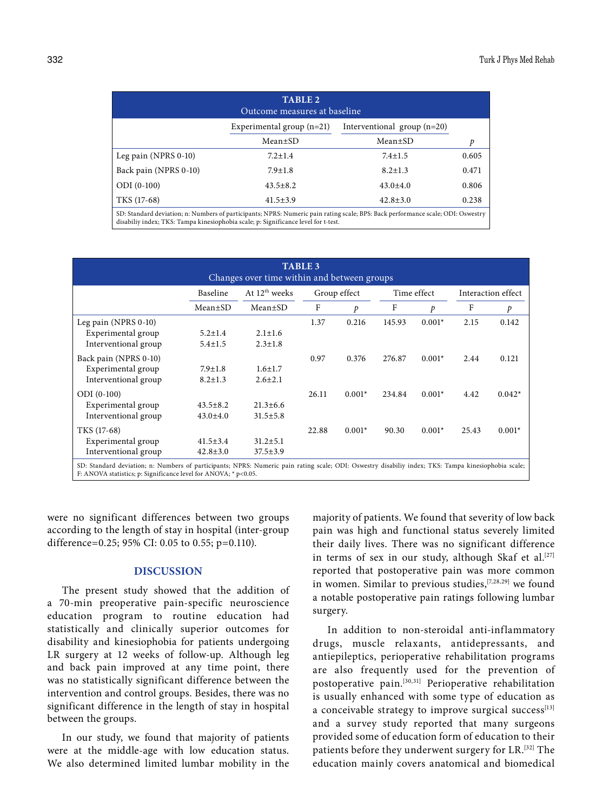| <b>TABLE 2</b><br>Outcome measures at baseline |                                                                                                                                                                                                                       |                               |       |  |  |  |
|------------------------------------------------|-----------------------------------------------------------------------------------------------------------------------------------------------------------------------------------------------------------------------|-------------------------------|-------|--|--|--|
|                                                | Experimental group $(n=21)$                                                                                                                                                                                           | Interventional group $(n=20)$ |       |  |  |  |
|                                                | Mean±SD                                                                                                                                                                                                               | Mean±SD                       | p     |  |  |  |
| Leg pain (NPRS 0-10)                           | $7.2 \pm 1.4$                                                                                                                                                                                                         | $7.4 \pm 1.5$                 | 0.605 |  |  |  |
| Back pain (NPRS 0-10)                          | $7.9 \pm 1.8$                                                                                                                                                                                                         | $8.2 \pm 1.3$                 | 0.471 |  |  |  |
| $ODI (0-100)$                                  | $43.5 \pm 8.2$                                                                                                                                                                                                        | $43.0 \pm 4.0$                | 0.806 |  |  |  |
| TKS (17-68)                                    | $41.5 \pm 3.9$                                                                                                                                                                                                        | $42.8 \pm 3.0$                | 0.238 |  |  |  |
|                                                | SD: Standard deviation; n: Numbers of participants; NPRS: Numeric pain rating scale; BPS: Back performance scale; ODI: Oswestry<br>disabiliy index; TKS: Tampa kinesiophobia scale; p: Significance level for t-test. |                               |       |  |  |  |

| <b>TABLE 3</b><br>Changes over time within and between groups                                                                                                                                                          |                |                           |              |          |             |          |                    |          |
|------------------------------------------------------------------------------------------------------------------------------------------------------------------------------------------------------------------------|----------------|---------------------------|--------------|----------|-------------|----------|--------------------|----------|
|                                                                                                                                                                                                                        | Baseline       | At 12 <sup>th</sup> weeks | Group effect |          | Time effect |          | Interaction effect |          |
|                                                                                                                                                                                                                        | $Mean \pm SD$  | $Mean \pm SD$             | F            | p        | F           | p        | F                  | p        |
| Leg pain (NPRS 0-10)                                                                                                                                                                                                   |                |                           | 1.37         | 0.216    | 145.93      | $0.001*$ | 2.15               | 0.142    |
| Experimental group                                                                                                                                                                                                     | $5.2 \pm 1.4$  | $2.1 \pm 1.6$             |              |          |             |          |                    |          |
| Interventional group                                                                                                                                                                                                   | $5.4 \pm 1.5$  | $2.3 \pm 1.8$             |              |          |             |          |                    |          |
| Back pain (NPRS 0-10)                                                                                                                                                                                                  |                |                           | 0.97         | 0.376    | 276.87      | $0.001*$ | 2.44               | 0.121    |
| Experimental group                                                                                                                                                                                                     | $7.9 \pm 1.8$  | $1.6 \pm 1.7$             |              |          |             |          |                    |          |
| Interventional group                                                                                                                                                                                                   | $8.2 \pm 1.3$  | $2.6 \pm 2.1$             |              |          |             |          |                    |          |
| $ODI (0-100)$                                                                                                                                                                                                          |                |                           | 26.11        | $0.001*$ | 234.84      | $0.001*$ | 4.42               | $0.042*$ |
| Experimental group                                                                                                                                                                                                     | $43.5 \pm 8.2$ | $21.3 \pm 6.6$            |              |          |             |          |                    |          |
| Interventional group                                                                                                                                                                                                   | $43.0 \pm 4.0$ | $31.5 \pm 5.8$            |              |          |             |          |                    |          |
| TKS (17-68)                                                                                                                                                                                                            |                |                           | 22.88        | $0.001*$ | 90.30       | $0.001*$ | 25.43              | $0.001*$ |
| Experimental group                                                                                                                                                                                                     | $41.5 \pm 3.4$ | $31.2 \pm 5.1$            |              |          |             |          |                    |          |
| Interventional group                                                                                                                                                                                                   | $42.8 \pm 3.0$ | $37.5 \pm 3.9$            |              |          |             |          |                    |          |
| SD: Standard deviation; n: Numbers of participants; NPRS: Numeric pain rating scale; ODI: Oswestry disabiliy index; TKS: Tampa kinesiophobia scale;<br>F: ANOVA statistics; p: Significance level for ANOVA; * p<0.05. |                |                           |              |          |             |          |                    |          |

were no significant differences between two groups according to the length of stay in hospital (inter-group difference=0.25; 95% CI: 0.05 to 0.55; p=0.110).

## **DISCUSSION**

The present study showed that the addition of a 70-min preoperative pain-specific neuroscience education program to routine education had statistically and clinically superior outcomes for disability and kinesiophobia for patients undergoing LR surgery at 12 weeks of follow-up. Although leg and back pain improved at any time point, there was no statistically significant difference between the intervention and control groups. Besides, there was no significant difference in the length of stay in hospital between the groups.

In our study, we found that majority of patients were at the middle-age with low education status. We also determined limited lumbar mobility in the majority of patients. We found that severity of low back pain was high and functional status severely limited their daily lives. There was no significant difference in terms of sex in our study, although Skaf et al.<sup>[27]</sup> reported that postoperative pain was more common in women. Similar to previous studies, <a>[7,28,29]</a> we found a notable postoperative pain ratings following lumbar surgery.

In addition to non-steroidal anti-inflammatory drugs, muscle relaxants, antidepressants, and antiepileptics, perioperative rehabilitation programs are also frequently used for the prevention of postoperative pain.[30,31] Perioperative rehabilitation is usually enhanced with some type of education as a conceivable strategy to improve surgical success<sup>[13]</sup> and a survey study reported that many surgeons provided some of education form of education to their patients before they underwent surgery for LR.[32] The education mainly covers anatomical and biomedical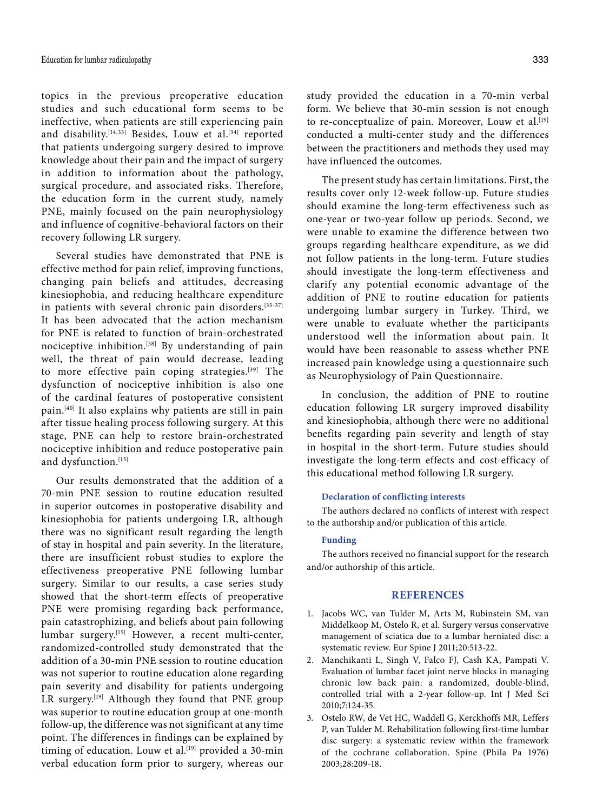topics in the previous preoperative education studies and such educational form seems to be ineffective, when patients are still experiencing pain and disability.<sup>[14,33]</sup> Besides, Louw et al.<sup>[34]</sup> reported that patients undergoing surgery desired to improve knowledge about their pain and the impact of surgery in addition to information about the pathology, surgical procedure, and associated risks. Therefore, the education form in the current study, namely PNE, mainly focused on the pain neurophysiology and influence of cognitive-behavioral factors on their recovery following LR surgery.

Several studies have demonstrated that PNE is effective method for pain relief, improving functions, changing pain beliefs and attitudes, decreasing kinesiophobia, and reducing healthcare expenditure in patients with several chronic pain disorders.<sup>[35-37]</sup> It has been advocated that the action mechanism for PNE is related to function of brain-orchestrated nociceptive inhibition.[38] By understanding of pain well, the threat of pain would decrease, leading to more effective pain coping strategies.[39] The dysfunction of nociceptive inhibition is also one of the cardinal features of postoperative consistent pain.[40] It also explains why patients are still in pain after tissue healing process following surgery. At this stage, PNE can help to restore brain-orchestrated nociceptive inhibition and reduce postoperative pain and dysfunction.[15]

Our results demonstrated that the addition of a 70-min PNE session to routine education resulted in superior outcomes in postoperative disability and kinesiophobia for patients undergoing LR, although there was no significant result regarding the length of stay in hospital and pain severity. In the literature, there are insufficient robust studies to explore the effectiveness preoperative PNE following lumbar surgery. Similar to our results, a case series study showed that the short-term effects of preoperative PNE were promising regarding back performance, pain catastrophizing, and beliefs about pain following lumbar surgery.[15] However, a recent multi-center, randomized-controlled study demonstrated that the addition of a 30-min PNE session to routine education was not superior to routine education alone regarding pain severity and disability for patients undergoing LR surgery.<sup>[19]</sup> Although they found that PNE group was superior to routine education group at one-month follow-up, the difference was not significant at any time point. The differences in findings can be explained by timing of education. Louw et al.<sup>[19]</sup> provided a 30-min verbal education form prior to surgery, whereas our

study provided the education in a 70-min verbal form. We believe that 30-min session is not enough to re-conceptualize of pain. Moreover, Louw et al.<sup>[19]</sup> conducted a multi-center study and the differences between the practitioners and methods they used may have influenced the outcomes.

The present study has certain limitations. First, the results cover only 12-week follow-up. Future studies should examine the long-term effectiveness such as one-year or two-year follow up periods. Second, we were unable to examine the difference between two groups regarding healthcare expenditure, as we did not follow patients in the long-term. Future studies should investigate the long-term effectiveness and clarify any potential economic advantage of the addition of PNE to routine education for patients undergoing lumbar surgery in Turkey. Third, we were unable to evaluate whether the participants understood well the information about pain. It would have been reasonable to assess whether PNE increased pain knowledge using a questionnaire such as Neurophysiology of Pain Questionnaire.

In conclusion, the addition of PNE to routine education following LR surgery improved disability and kinesiophobia, although there were no additional benefits regarding pain severity and length of stay in hospital in the short-term. Future studies should investigate the long-term effects and cost-efficacy of this educational method following LR surgery.

#### **Declaration of conflicting interests**

The authors declared no conflicts of interest with respect to the authorship and/or publication of this article.

#### **Funding**

The authors received no financial support for the research and/or authorship of this article.

## **REFERENCES**

- 1. Jacobs WC, van Tulder M, Arts M, Rubinstein SM, van Middelkoop M, Ostelo R, et al. Surgery versus conservative management of sciatica due to a lumbar herniated disc: a systematic review. Eur Spine J 2011;20:513-22.
- 2. Manchikanti L, Singh V, Falco FJ, Cash KA, Pampati V. Evaluation of lumbar facet joint nerve blocks in managing chronic low back pain: a randomized, double-blind, controlled trial with a 2-year follow-up. Int J Med Sci 2010;7:124-35.
- 3. Ostelo RW, de Vet HC, Waddell G, Kerckhoffs MR, Leffers P, van Tulder M. Rehabilitation following first-time lumbar disc surgery: a systematic review within the framework of the cochrane collaboration. Spine (Phila Pa 1976) 2003;28:209-18.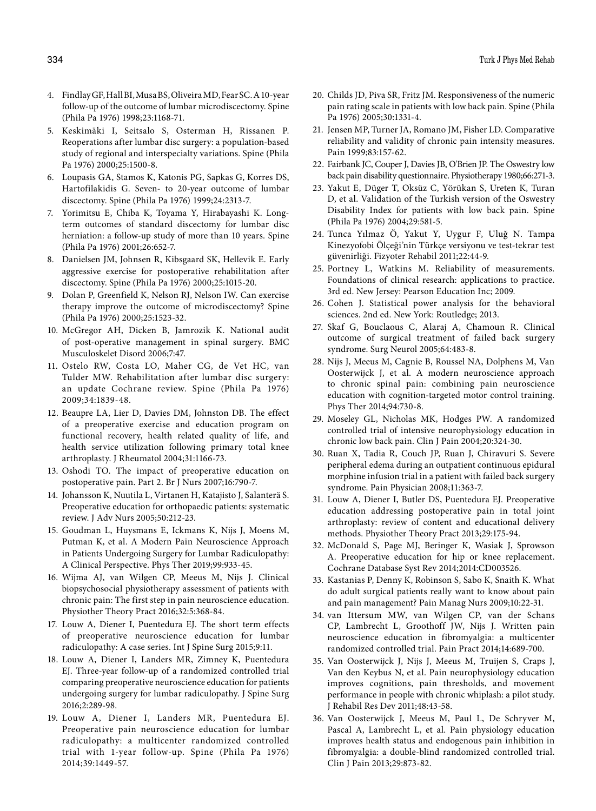- 4. Findlay GF, Hall BI, Musa BS, Oliveira MD, Fear SC. A 10-year follow-up of the outcome of lumbar microdiscectomy. Spine (Phila Pa 1976) 1998;23:1168-71.
- 5. Keskimäki I, Seitsalo S, Osterman H, Rissanen P. Reoperations after lumbar disc surgery: a population-based study of regional and interspecialty variations. Spine (Phila Pa 1976) 2000;25:1500-8.
- 6. Loupasis GA, Stamos K, Katonis PG, Sapkas G, Korres DS, Hartofilakidis G. Seven- to 20-year outcome of lumbar discectomy. Spine (Phila Pa 1976) 1999;24:2313-7.
- 7. Yorimitsu E, Chiba K, Toyama Y, Hirabayashi K. Longterm outcomes of standard discectomy for lumbar disc herniation: a follow-up study of more than 10 years. Spine (Phila Pa 1976) 2001;26:652-7.
- 8. Danielsen JM, Johnsen R, Kibsgaard SK, Hellevik E. Early aggressive exercise for postoperative rehabilitation after discectomy. Spine (Phila Pa 1976) 2000;25:1015-20.
- 9. Dolan P, Greenfield K, Nelson RJ, Nelson IW. Can exercise therapy improve the outcome of microdiscectomy? Spine (Phila Pa 1976) 2000;25:1523-32.
- 10. McGregor AH, Dicken B, Jamrozik K. National audit of post-operative management in spinal surgery. BMC Musculoskelet Disord 2006;7:47.
- 11. Ostelo RW, Costa LO, Maher CG, de Vet HC, van Tulder MW. Rehabilitation after lumbar disc surgery: an update Cochrane review. Spine (Phila Pa 1976) 2009;34:1839-48.
- 12. Beaupre LA, Lier D, Davies DM, Johnston DB. The effect of a preoperative exercise and education program on functional recovery, health related quality of life, and health service utilization following primary total knee arthroplasty. J Rheumatol 2004;31:1166-73.
- 13. Oshodi TO. The impact of preoperative education on postoperative pain. Part 2. Br J Nurs 2007;16:790-7.
- 14. Johansson K, Nuutila L, Virtanen H, Katajisto J, Salanterä S. Preoperative education for orthopaedic patients: systematic review. J Adv Nurs 2005;50:212-23.
- 15. Goudman L, Huysmans E, Ickmans K, Nijs J, Moens M, Putman K, et al. A Modern Pain Neuroscience Approach in Patients Undergoing Surgery for Lumbar Radiculopathy: A Clinical Perspective. Phys Ther 2019;99:933-45.
- 16. Wijma AJ, van Wilgen CP, Meeus M, Nijs J. Clinical biopsychosocial physiotherapy assessment of patients with chronic pain: The first step in pain neuroscience education. Physiother Theory Pract 2016;32:5:368-84.
- 17. Louw A, Diener I, Puentedura EJ. The short term effects of preoperative neuroscience education for lumbar radiculopathy: A case series. Int J Spine Surg 2015;9:11.
- 18. Louw A, Diener I, Landers MR, Zimney K, Puentedura EJ. Three-year follow-up of a randomized controlled trial comparing preoperative neuroscience education for patients undergoing surgery for lumbar radiculopathy. J Spine Surg 2016;2:289-98.
- 19. Louw A, Diener I, Landers MR, Puentedura EJ. Preoperative pain neuroscience education for lumbar radiculopathy: a multicenter randomized controlled trial with 1-year follow-up. Spine (Phila Pa 1976) 2014;39:1449-57.
- 20. Childs JD, Piva SR, Fritz JM. Responsiveness of the numeric pain rating scale in patients with low back pain. Spine (Phila Pa 1976) 2005;30:1331-4.
- 21. Jensen MP, Turner JA, Romano JM, Fisher LD. Comparative reliability and validity of chronic pain intensity measures. Pain 1999;83:157-62.
- 22. Fairbank JC, Couper J, Davies JB, O'Brien JP. The Oswestry low back pain disability questionnaire. Physiotherapy 1980;66:271-3.
- 23. Yakut E, Düger T, Oksüz C, Yörükan S, Ureten K, Turan D, et al. Validation of the Turkish version of the Oswestry Disability Index for patients with low back pain. Spine (Phila Pa 1976) 2004;29:581-5.
- 24. Tunca Yılmaz Ö, Yakut Y, Uygur F, Uluğ N. Tampa Kinezyofobi Ölçeği'nin Türkçe versiyonu ve test-tekrar test güvenirliği. Fizyoter Rehabil 2011;22:44-9.
- 25. Portney L, Watkins M. Reliability of measurements. Foundations of clinical research: applications to practice. 3rd ed. New Jersey: Pearson Education Inc; 2009.
- 26. Cohen J. Statistical power analysis for the behavioral sciences. 2nd ed. New York: Routledge; 2013.
- 27. Skaf G, Bouclaous C, Alaraj A, Chamoun R. Clinical outcome of surgical treatment of failed back surgery syndrome. Surg Neurol 2005;64:483-8.
- 28. Nijs J, Meeus M, Cagnie B, Roussel NA, Dolphens M, Van Oosterwijck J, et al. A modern neuroscience approach to chronic spinal pain: combining pain neuroscience education with cognition-targeted motor control training. Phys Ther 2014;94:730-8.
- 29. Moseley GL, Nicholas MK, Hodges PW. A randomized controlled trial of intensive neurophysiology education in chronic low back pain. Clin J Pain 2004;20:324-30.
- 30. Ruan X, Tadia R, Couch JP, Ruan J, Chiravuri S. Severe peripheral edema during an outpatient continuous epidural morphine infusion trial in a patient with failed back surgery syndrome. Pain Physician 2008;11:363-7.
- 31. Louw A, Diener I, Butler DS, Puentedura EJ. Preoperative education addressing postoperative pain in total joint arthroplasty: review of content and educational delivery methods. Physiother Theory Pract 2013;29:175-94.
- 32. McDonald S, Page MJ, Beringer K, Wasiak J, Sprowson A. Preoperative education for hip or knee replacement. Cochrane Database Syst Rev 2014;2014:CD003526.
- 33. Kastanias P, Denny K, Robinson S, Sabo K, Snaith K. What do adult surgical patients really want to know about pain and pain management? Pain Manag Nurs 2009;10:22-31.
- 34. van Ittersum MW, van Wilgen CP, van der Schans CP, Lambrecht L, Groothoff JW, Nijs J. Written pain neuroscience education in fibromyalgia: a multicenter randomized controlled trial. Pain Pract 2014;14:689-700.
- 35. Van Oosterwijck J, Nijs J, Meeus M, Truijen S, Craps J, Van den Keybus N, et al. Pain neurophysiology education improves cognitions, pain thresholds, and movement performance in people with chronic whiplash: a pilot study. J Rehabil Res Dev 2011;48:43-58.
- 36. Van Oosterwijck J, Meeus M, Paul L, De Schryver M, Pascal A, Lambrecht L, et al. Pain physiology education improves health status and endogenous pain inhibition in fibromyalgia: a double-blind randomized controlled trial. Clin J Pain 2013;29:873-82.